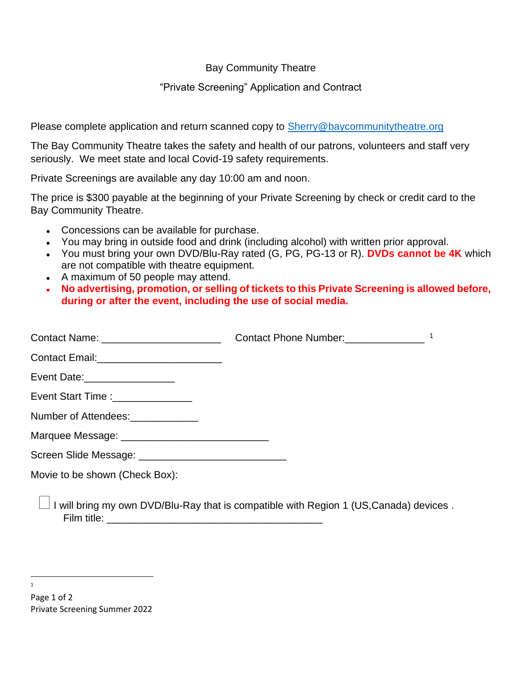Bay Community Theatre

## "Private Screening" Application and Contract

Please complete application and return scanned copy to [Sherry@baycommunitytheatre.org](mailto:Sherry@baycommunitytheatre.org)

The Bay Community Theatre takes the safety and health of our patrons, volunteers and staff very seriously. We meet state and local Covid-19 safety requirements.

Private Screenings are available any day 10:00 am and noon.

The price is \$300 payable at the beginning of your Private Screening by check or credit card to the Bay Community Theatre.

- Concessions can be available for purchase.
- You may bring in outside food and drink (including alcohol) with written prior approval.
- You must bring your own DVD/Blu-Ray rated (G, PG, PG-13 or R). **DVDs cannot be 4K** which are not compatible with theatre equipment.
- A maximum of 50 people may attend.
- **No advertising, promotion, or selling of tickets to this Private Screening is allowed before, during or after the event, including the use of social media.**

| Contact Name: _________________________                  | Contact Phone Number: |  |
|----------------------------------------------------------|-----------------------|--|
| Contact Email:__________________________                 |                       |  |
| Event Date:__________________                            |                       |  |
| Event Start Time : ________________                      |                       |  |
| Number of Attendees:                                     |                       |  |
| Marquee Message: _________________________________       |                       |  |
| Screen Slide Message: __________________________________ |                       |  |
| Movie to be shown (Check Box):                           |                       |  |
| والمتوسط والمتاريخ المتمازم المتناور والمتناور والمناور  |                       |  |

 $\Box$  I will bring my own DVD/Blu-Ray that is compatible with Region 1 (US, Canada) devices . Film title: \_\_\_\_\_\_\_\_\_\_\_\_\_\_\_\_\_\_\_\_\_\_\_\_\_\_\_\_\_\_\_\_\_\_\_\_\_\_

1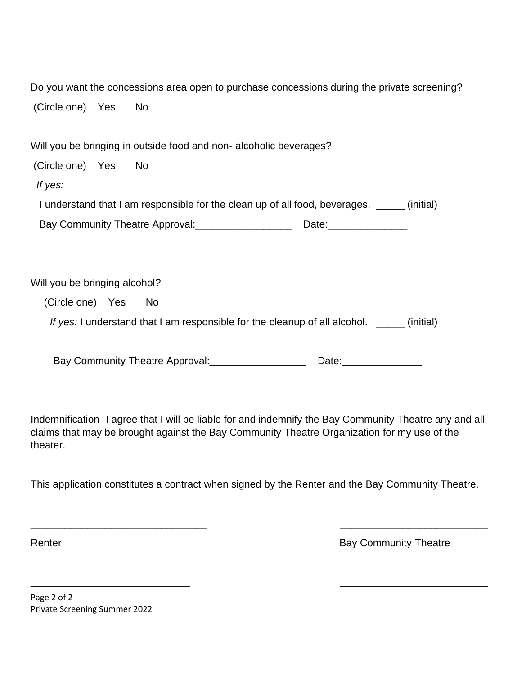| (Circle one) Yes No           |                                                                                             |  |
|-------------------------------|---------------------------------------------------------------------------------------------|--|
| (Circle one) Yes              | Will you be bringing in outside food and non-alcoholic beverages?<br>No                     |  |
| If yes:                       |                                                                                             |  |
|                               | I understand that I am responsible for the clean up of all food, beverages. _____ (initial) |  |
|                               | Bay Community Theatre Approval: 2001                                                        |  |
|                               |                                                                                             |  |
| Will you be bringing alcohol? |                                                                                             |  |

Do you want the concessions area open to purchase concessions during the private screening?

(Circle one) Yes No

*If yes:* I understand that I am responsible for the cleanup of all alcohol. \_\_\_\_\_ (initial)

Bay Community Theatre Approval: \_\_\_\_\_\_\_\_\_\_\_\_\_\_\_\_\_\_\_\_\_\_\_\_\_ Date: \_\_\_\_\_\_\_\_\_

Indemnification- I agree that I will be liable for and indemnify the Bay Community Theatre any and all claims that may be brought against the Bay Community Theatre Organization for my use of the theater.

This application constitutes a contract when signed by the Renter and the Bay Community Theatre.

 $\overline{\phantom{a}}$  , and the contract of the contract of the contract of the contract of the contract of the contract of the contract of the contract of the contract of the contract of the contract of the contract of the contrac

 $\overline{\phantom{a}}$  , and the contract of the contract of the contract of the contract of the contract of the contract of the contract of the contract of the contract of the contract of the contract of the contract of the contrac

Renter **Bay Community Theatre** 

Page 2 of 2 Private Screening Summer 2022